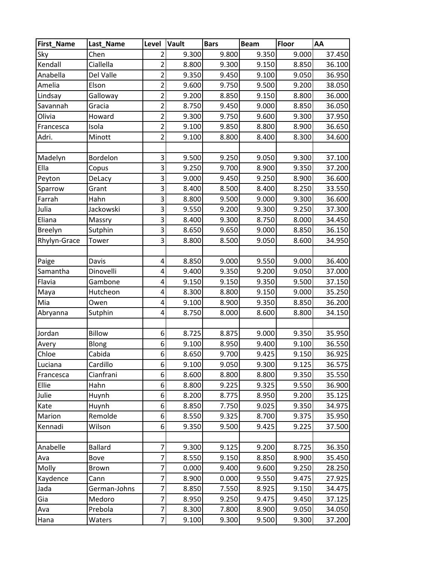| First_Name   | Last Name      | Level                   | Vault | <b>Bars</b> | <b>Beam</b> | <b>Floor</b> | AA     |
|--------------|----------------|-------------------------|-------|-------------|-------------|--------------|--------|
| Sky          | Chen           | $\overline{2}$          | 9.300 | 9.800       | 9.350       | 9.000        | 37.450 |
| Kendall      | Ciallella      | $\overline{2}$          | 8.800 | 9.300       | 9.150       | 8.850        | 36.100 |
| Anabella     | Del Valle      | $\overline{2}$          | 9.350 | 9.450       | 9.100       | 9.050        | 36.950 |
| Amelia       | Elson          | $\overline{2}$          | 9.600 | 9.750       | 9.500       | 9.200        | 38.050 |
| Lindsay      | Galloway       | $\overline{2}$          | 9.200 | 8.850       | 9.150       | 8.800        | 36.000 |
| Savannah     | Gracia         | $\overline{2}$          | 8.750 | 9.450       | 9.000       | 8.850        | 36.050 |
| Olivia       | Howard         | $\overline{2}$          | 9.300 | 9.750       | 9.600       | 9.300        | 37.950 |
| Francesca    | Isola          | $\overline{2}$          | 9.100 | 9.850       | 8.800       | 8.900        | 36.650 |
| Adri.        | Minott         | $\overline{2}$          | 9.100 | 8.800       | 8.400       | 8.300        | 34.600 |
|              |                |                         |       |             |             |              |        |
| Madelyn      | Bordelon       | $\overline{\mathbf{3}}$ | 9.500 | 9.250       | 9.050       | 9.300        | 37.100 |
| Ella         | Copus          | $\overline{\mathbf{3}}$ | 9.250 | 9.700       | 8.900       | 9.350        | 37.200 |
| Peyton       | DeLacy         | 3                       | 9.000 | 9.450       | 9.250       | 8.900        | 36.600 |
| Sparrow      | Grant          | $\overline{\mathbf{3}}$ | 8.400 | 8.500       | 8.400       | 8.250        | 33.550 |
| Farrah       | Hahn           | 3                       | 8.800 | 9.500       | 9.000       | 9.300        | 36.600 |
| Julia        | Jackowski      | 3                       | 9.550 | 9.200       | 9.300       | 9.250        | 37.300 |
| Eliana       | Massry         | 3                       | 8.400 | 9.300       | 8.750       | 8.000        | 34.450 |
| Breelyn      | Sutphin        | $\overline{3}$          | 8.650 | 9.650       | 9.000       | 8.850        | 36.150 |
| Rhylyn-Grace | Tower          | $\overline{\mathbf{3}}$ | 8.800 | 8.500       | 9.050       | 8.600        | 34.950 |
|              |                |                         |       |             |             |              |        |
| Paige        | Davis          | 4                       | 8.850 | 9.000       | 9.550       | 9.000        | 36.400 |
| Samantha     | Dinovelli      | $\overline{\mathbf{r}}$ | 9.400 | 9.350       | 9.200       | 9.050        | 37.000 |
| Flavia       | Gambone        | $\overline{\mathbf{r}}$ | 9.150 | 9.150       | 9.350       | 9.500        | 37.150 |
| Maya         | Hutcheon       | 4                       | 8.300 | 8.800       | 9.150       | 9.000        | 35.250 |
| Mia          | Owen           | $\overline{\mathbf{r}}$ | 9.100 | 8.900       | 9.350       | 8.850        | 36.200 |
| Abryanna     | Sutphin        | $\overline{\mathbf{r}}$ | 8.750 | 8.000       | 8.600       | 8.800        | 34.150 |
|              |                |                         |       |             |             |              |        |
| Jordan       | <b>Billow</b>  | 6                       | 8.725 | 8.875       | 9.000       | 9.350        | 35.950 |
| Avery        | Blong          | 6                       | 9.100 | 8.950       | 9.400       | 9.100        | 36.550 |
| Chloe        | Cabida         | $6\vert$                | 8.650 | 9.700       | 9.425       | 9.150        | 36.925 |
| Luciana      | Cardillo       | 6                       | 9.100 | 9.050       | 9.300       | 9.125        | 36.575 |
| Francesca    | Cianfrani      | 6                       | 8.600 | 8.800       | 8.800       | 9.350        | 35.550 |
| Ellie        | Hahn           | 6                       | 8.800 | 9.225       | 9.325       | 9.550        | 36.900 |
| Julie        | Huynh          | 6                       | 8.200 | 8.775       | 8.950       | 9.200        | 35.125 |
| Kate         | Huynh          | 6                       | 8.850 | 7.750       | 9.025       | 9.350        | 34.975 |
| Marion       | Remolde        | 6                       | 8.550 | 9.325       | 8.700       | 9.375        | 35.950 |
| Kennadi      | Wilson         | 6                       | 9.350 | 9.500       | 9.425       | 9.225        | 37.500 |
|              |                |                         |       |             |             |              |        |
| Anabelle     | <b>Ballard</b> | $\overline{7}$          | 9.300 | 9.125       | 9.200       | 8.725        | 36.350 |
| Ava          | Bove           | $\overline{7}$          | 8.550 | 9.150       | 8.850       | 8.900        | 35.450 |
| Molly        | Brown          | 7                       | 0.000 | 9.400       | 9.600       | 9.250        | 28.250 |
| Kaydence     | Cann           | $\overline{7}$          | 8.900 | 0.000       | 9.550       | 9.475        | 27.925 |
| Jada         | German-Johns   | 7                       | 8.850 | 7.550       | 8.925       | 9.150        | 34.475 |
| Gia          | Medoro         | 7                       | 8.950 | 9.250       | 9.475       | 9.450        | 37.125 |
| Ava          | Prebola        | $\overline{7}$          | 8.300 | 7.800       | 8.900       | 9.050        | 34.050 |
| Hana         | Waters         | $\overline{7}$          | 9.100 | 9.300       | 9.500       | 9.300        | 37.200 |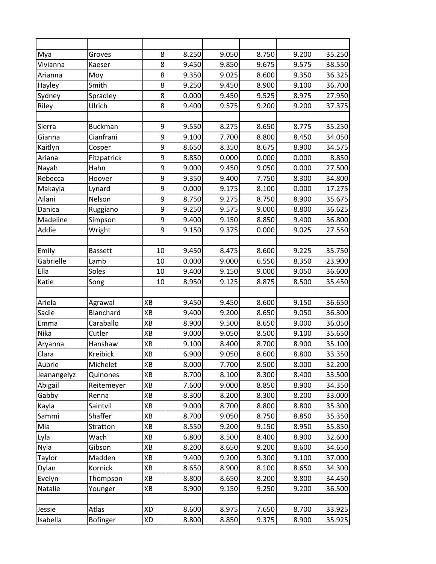| Mya         | Groves          | 8           | 8.250 | 9.050 | 8.750 | 9.200 | 35.250 |
|-------------|-----------------|-------------|-------|-------|-------|-------|--------|
| Vivianna    | Kaeser          | 8           | 9.450 | 9.850 | 9.675 | 9.575 | 38.550 |
| Arianna     | Moy             | 8           | 9.350 | 9.025 | 8.600 | 9.350 | 36.325 |
| Hayley      | Smith           | 8           | 9.250 | 9.450 | 8.900 | 9.100 | 36.700 |
| Sydney      | Spradley        | 8           | 0.000 | 9.450 | 9.525 | 8.975 | 27.950 |
| Riley       | Ulrich          | 8           | 9.400 | 9.575 | 9.200 | 9.200 | 37.375 |
|             |                 |             |       |       |       |       |        |
| Sierra      | <b>Buckman</b>  | 9           | 9.550 | 8.275 | 8.650 | 8.775 | 35.250 |
| Gianna      | Cianfrani       | 9           | 9.100 | 7.700 | 8.800 | 8.450 | 34.050 |
| Kaitlyn     | Cosper          | 9           | 8.650 | 8.350 | 8.675 | 8.900 | 34.575 |
| Ariana      | Fitzpatrick     | 9           | 8.850 | 0.000 | 0.000 | 0.000 | 8.850  |
| Nayah       | Hahn            | 9           | 9.000 | 9.450 | 9.050 | 0.000 | 27.500 |
| Rebecca     | Hoover          | 9           | 9.350 | 9.400 | 7.750 | 8.300 | 34.800 |
| Makayla     | Lynard          | 9           | 0.000 | 9.175 | 8.100 | 0.000 | 17.275 |
| Ailani      | Nelson          | 9           | 8.750 | 9.275 | 8.750 | 8.900 | 35.675 |
| Danica      | Ruggiano        | 9           | 9.250 | 9.575 | 9.000 | 8.800 | 36.625 |
| Madeline    | Simpson         | $\mathsf 9$ | 9.400 | 9.150 | 8.850 | 9.400 | 36.800 |
| Addie       | Wright          | 9           | 9.150 | 9.375 | 0.000 | 9.025 | 27.550 |
|             |                 |             |       |       |       |       |        |
| Emily       | <b>Bassett</b>  | 10          | 9.450 | 8.475 | 8.600 | 9.225 | 35.750 |
| Gabrielle   | Lamb            | 10          | 0.000 | 9.000 | 6.550 | 8.350 | 23.900 |
| Ella        | Soles           | 10          | 9.400 | 9.150 | 9.000 | 9.050 | 36.600 |
| Katie       | Song            | 10          | 8.950 | 9.125 | 8.875 | 8.500 | 35.450 |
|             |                 |             |       |       |       |       |        |
| Ariela      | Agrawal         | XB          | 9.450 | 9.450 | 8.600 | 9.150 | 36.650 |
| Sadie       | Blanchard       | XB          | 9.400 | 9.200 | 8.650 | 9.050 | 36.300 |
| Emma        | Caraballo       | XB          | 8.900 | 9.500 | 8.650 | 9.000 | 36.050 |
| Nika        | Cutler          | XB          | 9.000 | 9.050 | 8.500 | 9.100 | 35.650 |
| Aryanna     | Hanshaw         | XB          | 9.100 | 8.400 | 8.700 | 8.900 | 35.100 |
| Clara       | <b>Kreibick</b> | XB          | 6.900 | 9.050 | 8.600 | 8.800 | 33.350 |
| Aubrie      | Michelet        | XB          | 8.000 | 7.700 | 8.500 | 8.000 | 32.200 |
| Jeanangelyz | Quinones        | XB          | 8.700 | 8.100 | 8.300 | 8.400 | 33.500 |
| Abigail     | Reitemeyer      | ХB          | 7.600 | 9.000 | 8.850 | 8.900 | 34.350 |
| Gabby       | Renna           | XB          | 8.300 | 8.200 | 8.300 | 8.200 | 33.000 |
| Kayla       | Saintvil        | XB          | 9.000 | 8.700 | 8.800 | 8.800 | 35.300 |
| Sammi       | Shaffer         | XB          | 8.700 | 9.050 | 8.750 | 8.850 | 35.350 |
| Mia         | Stratton        | XB          | 8.550 | 9.200 | 9.150 | 8.950 | 35.850 |
| Lyla        | Wach            | XB          | 6.800 | 8.500 | 8.400 | 8.900 | 32.600 |
| Nyla        | Gibson          | XB          | 8.200 | 8.650 | 9.200 | 8.600 | 34.650 |
| Taylor      | Madden          | XB          | 9.400 | 9.200 | 9.300 | 9.100 | 37.000 |
| Dylan       | Kornick         | ХB          | 8.650 | 8.900 | 8.100 | 8.650 | 34.300 |
| Evelyn      | Thompson        | XB          | 8.800 | 8.650 | 8.200 | 8.800 | 34.450 |
| Natalie     | Younger         | ХB          | 8.900 | 9.150 | 9.250 | 9.200 | 36.500 |
|             |                 |             |       |       |       |       |        |
| Jessie      | Atlas           | XD          | 8.600 | 8.975 | 7.650 | 8.700 | 33.925 |
| Isabella    | <b>Bofinger</b> | XD          | 8.800 | 8.850 | 9.375 | 8.900 | 35.925 |